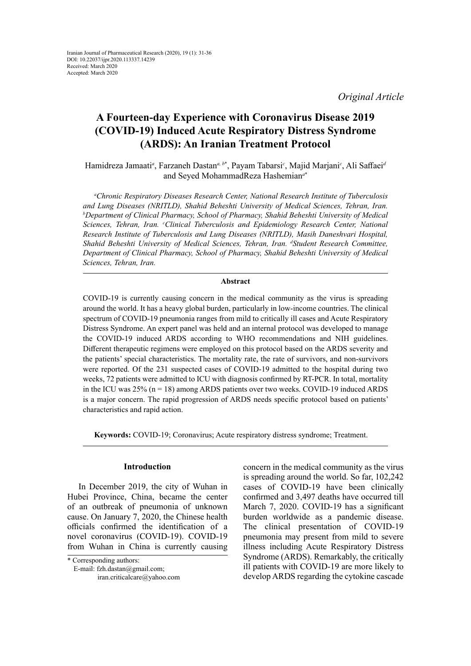*Original Article*

# **A Fourteen-day Experience with Coronavirus Disease 2019 (COVID-19) Induced Acute Respiratory Distress Syndrome (ARDS): An Iranian Treatment Protocol**

Hamidreza Jamaati*<sup>a</sup>* , Farzaneh Dastan*a, b*\* , Payam Tabarsi*<sup>c</sup>* , Majid Marjani*<sup>c</sup>* , Ali Saffaei*<sup>d</sup>* and Seyed MohammadReza Hashemian*<sup>a</sup>*\*

*a Chronic Respiratory Diseases Research Center, National Research Institute of Tuberculosis and Lung Diseases (NRITLD), Shahid Beheshti University of Medical Sciences, Tehran, Iran. b Department of Clinical Pharmacy, School of Pharmacy, Shahid Beheshti University of Medical Sciences, Tehran, Iran. c Clinical Tuberculosis and Epidemiology Research Center, National Research Institute of Tuberculosis and Lung Diseases (NRITLD), Masih Daneshvari Hospital, Shahid Beheshti University of Medical Sciences, Tehran, Iran. d Student Research Committee, Department of Clinical Pharmacy, School of Pharmacy, Shahid Beheshti University of Medical Sciences, Tehran, Iran.*

## **Abstract**

COVID-19 is currently causing concern in the medical community as the virus is spreading around the world. It has a heavy global burden, particularly in low-income countries. The clinical spectrum of COVID-19 pneumonia ranges from mild to critically ill cases and Acute Respiratory Distress Syndrome. An expert panel was held and an internal protocol was developed to manage the COVID-19 induced ARDS according to WHO recommendations and NIH guidelines. Different therapeutic regimens were employed on this protocol based on the ARDS severity and the patients' special characteristics. The mortality rate, the rate of survivors, and non-survivors were reported. Of the 231 suspected cases of COVID-19 admitted to the hospital during two weeks, 72 patients were admitted to ICU with diagnosis confirmed by RT-PCR. In total, mortality in the ICU was 25% (n = 18) among ARDS patients over two weeks. COVID-19 induced ARDS is a major concern. The rapid progression of ARDS needs specific protocol based on patients' characteristics and rapid action.

**Keywords:** COVID-19; Coronavirus; Acute respiratory distress syndrome; Treatment.

# **Introduction**

In December 2019, the city of Wuhan in Hubei Province, China, became the center of an outbreak of pneumonia of unknown cause. On January 7, 2020, the Chinese health officials confirmed the identification of a novel coronavirus (COVID-19). COVID-19 from Wuhan in China is currently causing

 E-mail: fzh.dastan@gmail.com; iran.criticalcare@yahoo.com

concern in the medical community as the virus is spreading around the world. So far, 102,242 cases of COVID-19 have been clinically confirmed and 3,497 deaths have occurred till March 7, 2020. COVID-19 has a significant burden worldwide as a pandemic disease. The clinical presentation of COVID-19 pneumonia may present from mild to severe illness including Acute Respiratory Distress Syndrome (ARDS). Remarkably, the critically ill patients with COVID-19 are more likely to develop ARDS regarding the cytokine cascade

<sup>\*</sup> Corresponding authors: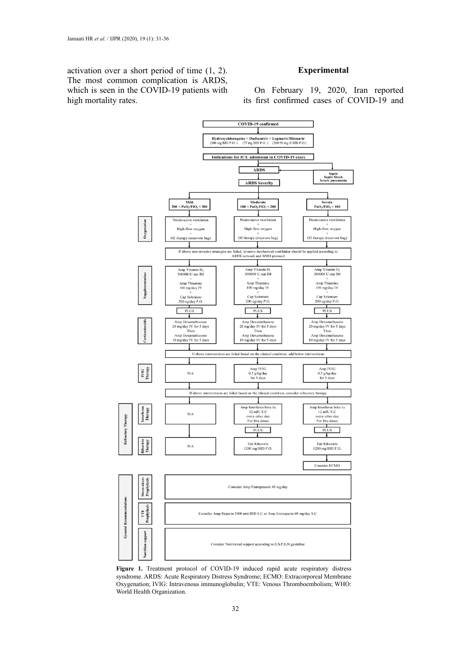activation over a short period of time (1, 2). The most common complication is ARDS, which is seen in the COVID-19 patients with high mortality rates.

# **Experimental**

On February 19, 2020, Iran reported its first confirmed cases of COVID-19 and



**Figure 1.** Treatment protocol of COVID-19 induced rapid acute respiratory distress syndrome. ARDS: Acute Respiratory Distress Syndrome; ECMO: Extracorporeal Membrane Oxygenation; IVIG: Intravenous immunoglobulin; VTE: Venous Thromboembolism; WHO: World Health Organization.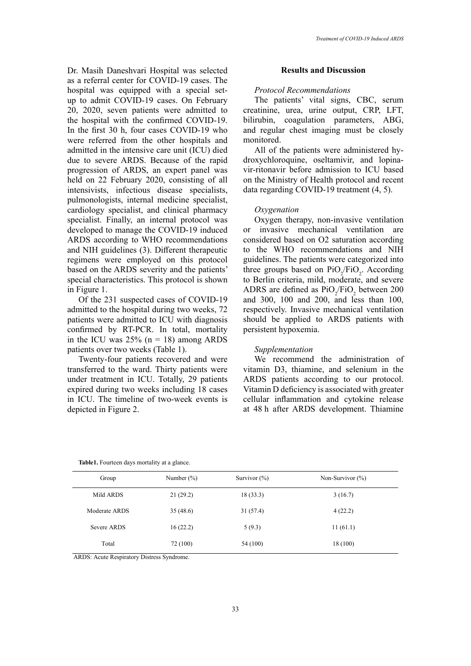Dr. Masih Daneshvari Hospital was selected as a referral center for COVID-19 cases. The hospital was equipped with a special setup to admit COVID-19 cases. On February 20, 2020, seven patients were admitted to the hospital with the confirmed COVID-19. In the first 30 h, four cases COVID-19 who were referred from the other hospitals and admitted in the intensive care unit (ICU) died due to severe ARDS. Because of the rapid progression of ARDS, an expert panel was held on 22 February 2020, consisting of all intensivists, infectious disease specialists, pulmonologists, internal medicine specialist, cardiology specialist, and clinical pharmacy specialist. Finally, an internal protocol was developed to manage the COVID-19 induced ARDS according to WHO recommendations and NIH guidelines (3). Different therapeutic regimens were employed on this protocol based on the ARDS severity and the patients' special characteristics. This protocol is shown in Figure 1.

Of the 231 suspected cases of COVID-19 admitted to the hospital during two weeks, 72 patients were admitted to ICU with diagnosis confirmed by RT-PCR. In total, mortality in the ICU was  $25\%$  (n = 18) among ARDS patients over two weeks (Table 1).

Twenty-four patients recovered and were transferred to the ward. Thirty patients were under treatment in ICU. Totally, 29 patients expired during two weeks including 18 cases in ICU. The timeline of two-week events is depicted in Figure 2.

## **Results and Discussion**

#### *Protocol Recommendations*

The patients' vital signs, CBC, serum creatinine, urea, urine output, CRP, LFT, bilirubin, coagulation parameters, ABG, and regular chest imaging must be closely monitored.

All of the patients were administered hydroxychloroquine, oseltamivir, and lopinavir-ritonavir before admission to ICU based on the Ministry of Health protocol and recent data regarding COVID-19 treatment (4, 5).

#### *Oxygenation*

Oxygen therapy, non-invasive ventilation or invasive mechanical ventilation are considered based on O2 saturation according to the WHO recommendations and NIH guidelines. The patients were categorized into three groups based on  $PiO_2/FiO_2$ . According to Berlin criteria, mild, moderate, and severe ADRS are defined as  $PiO_2/FiO_2$  between 200 and 300, 100 and 200, and less than 100, respectively. Invasive mechanical ventilation should be applied to ARDS patients with persistent hypoxemia.

## *Supplementation*

We recommend the administration of vitamin D3, thiamine, and selenium in the ARDS patients according to our protocol. Vitamin D deficiency is associated with greater cellular inflammation and cytokine release at 48 h after ARDS development. Thiamine

| Group         | Number $(\%)$ | Survivor $(\%)$ | Non-Survivor $(\% )$ |
|---------------|---------------|-----------------|----------------------|
| Mild ARDS     | 21(29.2)      | 18(33.3)        | 3(16.7)              |
| Moderate ARDS | 35(48.6)      | 31 (57.4)       | 4(22.2)              |
| Severe ARDS   | 16(22.2)      | 5(9.3)          | 11(61.1)             |
| Total         | 72 (100)      | 54 (100)        | 18(100)              |

| <b>Table1.</b> Fourteen days mortality at a glance. |  |
|-----------------------------------------------------|--|
|                                                     |  |

ARDS: Acute Respiratory Distress Syndrome.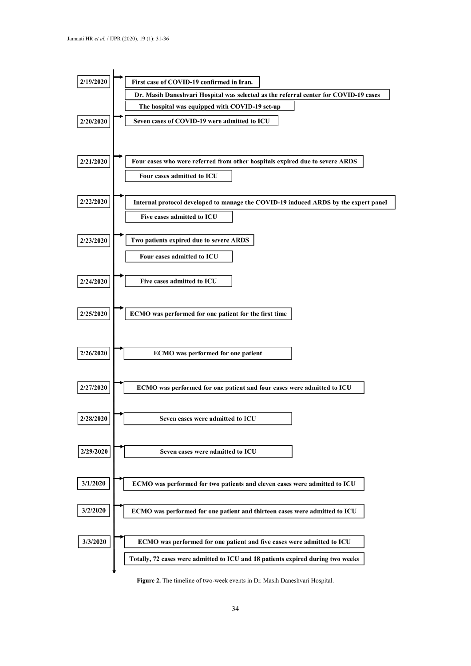

**Figure 2.** The timeline of two-week events in Dr. Masih Daneshvari Hospital.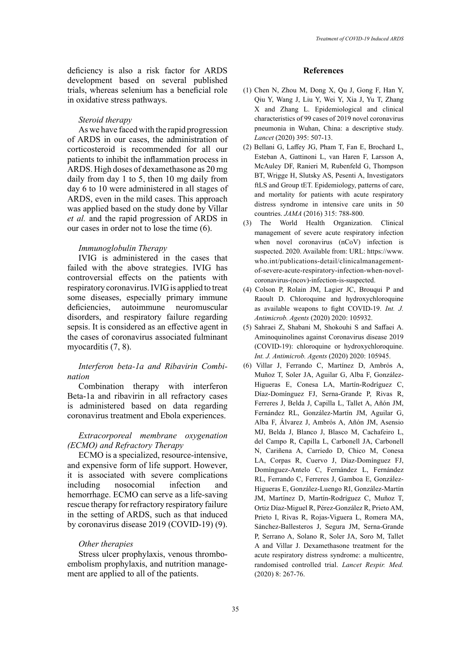deficiency is also a risk factor for ARDS development based on several published trials, whereas selenium has a beneficial role in oxidative stress pathways.

# *Steroid therapy*

As we have faced with the rapid progression of ARDS in our cases, the administration of corticosteroid is recommended for all our patients to inhibit the inflammation process in ARDS. High doses of dexamethasone as 20 mg daily from day 1 to 5, then 10 mg daily from day 6 to 10 were administered in all stages of ARDS, even in the mild cases. This approach was applied based on the study done by Villar *et al.* and the rapid progression of ARDS in our cases in order not to lose the time (6).

#### *Immunoglobulin Therapy*

IVIG is administered in the cases that failed with the above strategies. IVIG has controversial effects on the patients with respiratory coronavirus. IVIG is applied to treat some diseases, especially primary immune deficiencies, autoimmune neuromuscular disorders, and respiratory failure regarding sepsis. It is considered as an effective agent in the cases of coronavirus associated fulminant myocarditis (7, 8).

# *Interferon beta-1a and Ribavirin Combination*

Combination therapy with interferon Beta-1a and ribavirin in all refractory cases is administered based on data regarding coronavirus treatment and Ebola experiences.

# *Extracorporeal membrane oxygenation (ECMO) and Refractory Therapy*

ECMO is a specialized, resource-intensive, and expensive form of life support. However, it is associated with severe complications<br>including nosocomial infection and nosocomial infection and hemorrhage. ECMO can serve as a life-saving rescue therapy for refractory respiratory failure in the setting of ARDS, such as that induced by coronavirus disease 2019 (COVID-19) (9).

#### *Other therapies*

Stress ulcer prophylaxis, venous thromboembolism prophylaxis, and nutrition management are applied to all of the patients.

### **References**

- (1) Chen N, Zhou M, Dong X, Qu J, Gong F, Han Y, Qiu Y, Wang J, Liu Y, Wei Y, Xia J, Yu T, Zhang X and Zhang L. Epidemiological and clinical characteristics of 99 cases of 2019 novel coronavirus pneumonia in Wuhan, China: a descriptive study. *Lancet* (2020) 395: 507-13.
- (2) Bellani G, Laffey JG, Pham T, Fan E, Brochard L, Esteban A, Gattinoni L, van Haren F, Larsson A, McAuley DF, Ranieri M, Rubenfeld G, Thompson BT, Wrigge H, Slutsky AS, Pesenti A, Investigators ftLS and Group tET. Epidemiology, patterns of care, and mortality for patients with acute respiratory distress syndrome in intensive care units in 50 countries. *JAMA* (2016) 315: 788-800.
- (3) The World Health Organization. Clinical management of severe acute respiratory infection when novel coronavirus (nCoV) infection is suspected. 2020. Available from: URL: https:/[/www.](http://www.who.int/publications-detail/clinicalmanagement-) [who.int/publications-detail/clinicalmanagement](http://www.who.int/publications-detail/clinicalmanagement-)of-severe-acute-respiratory-infection-when-novelcoronavirus-(ncov)-infection-is-suspected.
- (4) Colson P, Rolain JM, Lagier JC, Brouqui P and Raoult D. Chloroquine and hydroxychloroquine as available weapons to fight COVID-19. *Int. J. Antimicrob. Agents* (2020) 2020: 105932.
- (5) Sahraei Z, Shabani M, Shokouhi S and Saffaei A. Aminoquinolines against Coronavirus disease 2019 (COVID-19): chloroquine or hydroxychloroquine. *Int. J. Antimicrob. Agents* (2020) 2020: 105945.
- (6) Villar J, Ferrando C, Martínez D, Ambrós A, Muñoz T, Soler JA, Aguilar G, Alba F, González-Higueras E, Conesa LA, Martín-Rodríguez C, Díaz-Domínguez FJ, Serna-Grande P, Rivas R, Ferreres J, Belda J, Capilla L, Tallet A, Añón JM, Fernández RL, González-Martín JM, Aguilar G, Alba F, Álvarez J, Ambrós A, Añón JM, Asensio MJ, Belda J, Blanco J, Blasco M, Cachafeiro L, del Campo R, Capilla L, Carbonell JA, Carbonell N, Cariñena A, Carriedo D, Chico M, Conesa LA, Corpas R, Cuervo J, Díaz-Domínguez FJ, Domínguez-Antelo C, Fernández L, Fernández RL, Ferrando C, Ferreres J, Gamboa E, González-Higueras E, González-Luengo RI, González-Martín JM, Martínez D, Martín-Rodríguez C, Muñoz T, Ortiz Díaz-Miguel R, Pérez-González R, Prieto AM, Prieto I, Rivas R, Rojas-Viguera L, Romera MA, Sánchez-Ballesteros J, Segura JM, Serna-Grande P, Serrano A, Solano R, Soler JA, Soro M, Tallet A and Villar J. Dexamethasone treatment for the acute respiratory distress syndrome: a multicentre, randomised controlled trial. *Lancet Respir. Med.*  (2020) 8: 267-76.